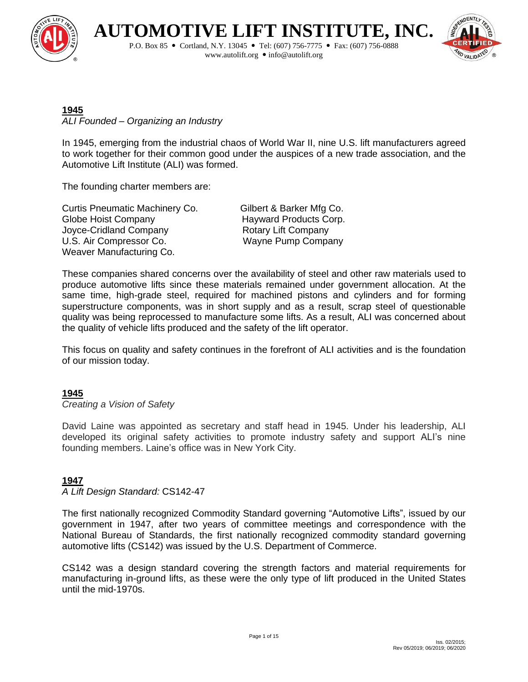

**AUTOMOTIVE LIFT INSTITUTE, INC.** P.O. Box 85 • Cortland, N.Y. 13045 • Tel: (607) 756-7775 • Fax: (607) 756-0888 www.autolift.org • info@autolift.org



# **1945** *ALI Founded – Organizing an Industry*

In 1945, emerging from the industrial chaos of World War II, nine U.S. lift manufacturers agreed to work together for their common good under the auspices of a new trade association, and the Automotive Lift Institute (ALI) was formed.

The founding charter members are:

Curtis Pneumatic Machinery Co. Gilbert & Barker Mfg Co. Globe Hoist Company **Hayward Products Corp.** Joyce-Cridland Company Rotary Lift Company U.S. Air Compressor Co. Wayne Pump Company Weaver Manufacturing Co.

These companies shared concerns over the availability of steel and other raw materials used to produce automotive lifts since these materials remained under government allocation. At the same time, high-grade steel, required for machined pistons and cylinders and for forming superstructure components, was in short supply and as a result, scrap steel of questionable quality was being reprocessed to manufacture some lifts. As a result, ALI was concerned about the quality of vehicle lifts produced and the safety of the lift operator.

This focus on quality and safety continues in the forefront of ALI activities and is the foundation of our mission today.

## **1945**

*Creating a Vision of Safety*

David Laine was appointed as secretary and staff head in 1945. Under his leadership, ALI developed its original safety activities to promote industry safety and support ALI's nine founding members. Laine's office was in New York City.

## **1947**

*A Lift Design Standard:* CS142-47

The first nationally recognized Commodity Standard governing "Automotive Lifts", issued by our government in 1947, after two years of committee meetings and correspondence with the National Bureau of Standards, the first nationally recognized commodity standard governing automotive lifts (CS142) was issued by the U.S. Department of Commerce.

CS142 was a design standard covering the strength factors and material requirements for manufacturing in-ground lifts, as these were the only type of lift produced in the United States until the mid-1970s.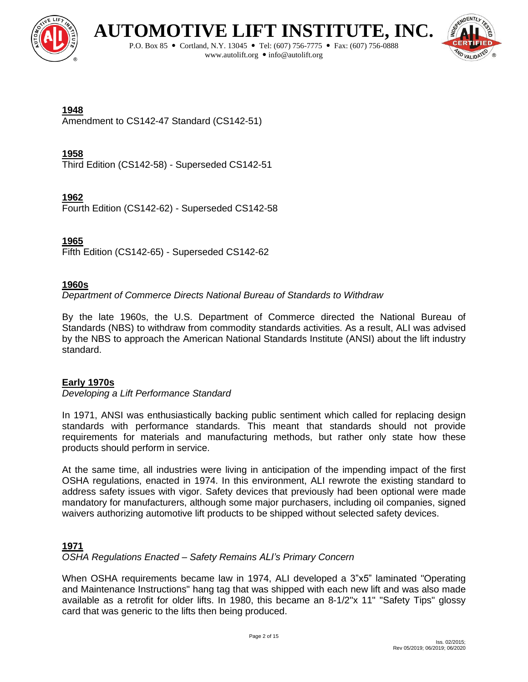



P.O. Box 85 • Cortland, N.Y. 13045 • Tel: (607) 756-7775 • Fax: (607) 756-0888 www.autolift.org  $\bullet$  info@autolift.org



#### **1948**

Amendment to CS142-47 Standard (CS142-51)

## **1958**

Third Edition (CS142-58) - Superseded CS142-51

## **1962**

Fourth Edition (CS142-62) - Superseded CS142-58

**1965** Fifth Edition (CS142-65) - Superseded CS142-62

#### **1960s**

*Department of Commerce Directs National Bureau of Standards to Withdraw*

By the late 1960s, the U.S. Department of Commerce directed the National Bureau of Standards (NBS) to withdraw from commodity standards activities. As a result, ALI was advised by the NBS to approach the American National Standards Institute (ANSI) about the lift industry standard.

## **Early 1970s**

*Developing a Lift Performance Standard*

In 1971, ANSI was enthusiastically backing public sentiment which called for replacing design standards with performance standards. This meant that standards should not provide requirements for materials and manufacturing methods, but rather only state how these products should perform in service.

At the same time, all industries were living in anticipation of the impending impact of the first OSHA regulations, enacted in 1974. In this environment, ALI rewrote the existing standard to address safety issues with vigor. Safety devices that previously had been optional were made mandatory for manufacturers, although some major purchasers, including oil companies, signed waivers authorizing automotive lift products to be shipped without selected safety devices.

## **1971**

*OSHA Regulations Enacted – Safety Remains ALI's Primary Concern*

When OSHA requirements became law in 1974, ALI developed a 3"x5" laminated "Operating and Maintenance Instructions" hang tag that was shipped with each new lift and was also made available as a retrofit for older lifts. In 1980, this became an 8-1/2"x 11" "Safety Tips" glossy card that was generic to the lifts then being produced.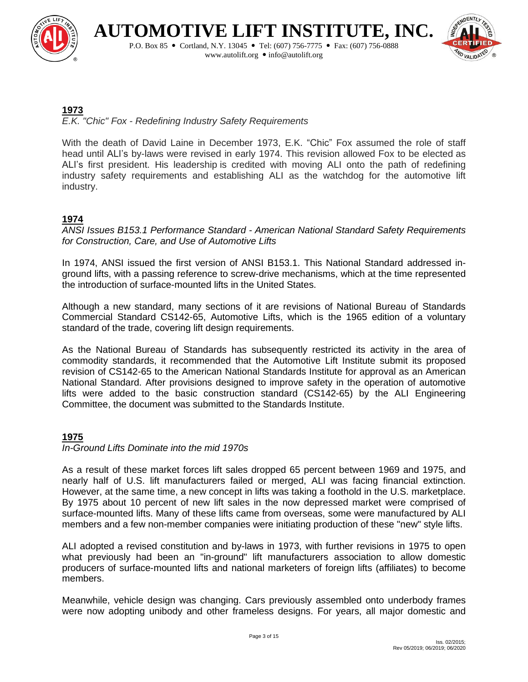





# **1973** *E.K. "Chic" Fox - Redefining Industry Safety Requirements*

With the death of David Laine in December 1973, E.K. "Chic" Fox assumed the role of staff head until ALI's by-laws were revised in early 1974. This revision allowed Fox to be elected as ALI's first president. His leadership is credited with moving ALI onto the path of redefining industry safety requirements and establishing ALI as the watchdog for the automotive lift industry.

# **1974**

*ANSI Issues B153.1 Performance Standard - American National Standard Safety Requirements for Construction, Care, and Use of Automotive Lifts*

In 1974, ANSI issued the first version of ANSI B153.1. This National Standard addressed inground lifts, with a passing reference to screw-drive mechanisms, which at the time represented the introduction of surface-mounted lifts in the United States.

Although a new standard, many sections of it are revisions of National Bureau of Standards Commercial Standard CS142-65, Automotive Lifts, which is the 1965 edition of a voluntary standard of the trade, covering lift design requirements.

As the National Bureau of Standards has subsequently restricted its activity in the area of commodity standards, it recommended that the Automotive Lift Institute submit its proposed revision of CS142-65 to the American National Standards Institute for approval as an American National Standard. After provisions designed to improve safety in the operation of automotive lifts were added to the basic construction standard (CS142-65) by the ALI Engineering Committee, the document was submitted to the Standards Institute.

## **1975**

#### *In-Ground Lifts Dominate into the mid 1970s*

As a result of these market forces lift sales dropped 65 percent between 1969 and 1975, and nearly half of U.S. lift manufacturers failed or merged, ALI was facing financial extinction. However, at the same time, a new concept in lifts was taking a foothold in the U.S. marketplace. By 1975 about 10 percent of new lift sales in the now depressed market were comprised of surface-mounted lifts. Many of these lifts came from overseas, some were manufactured by ALI members and a few non-member companies were initiating production of these "new" style lifts.

ALI adopted a revised constitution and by-laws in 1973, with further revisions in 1975 to open what previously had been an "in-ground" lift manufacturers association to allow domestic producers of surface-mounted lifts and national marketers of foreign lifts (affiliates) to become members.

Meanwhile, vehicle design was changing. Cars previously assembled onto underbody frames were now adopting unibody and other frameless designs. For years, all major domestic and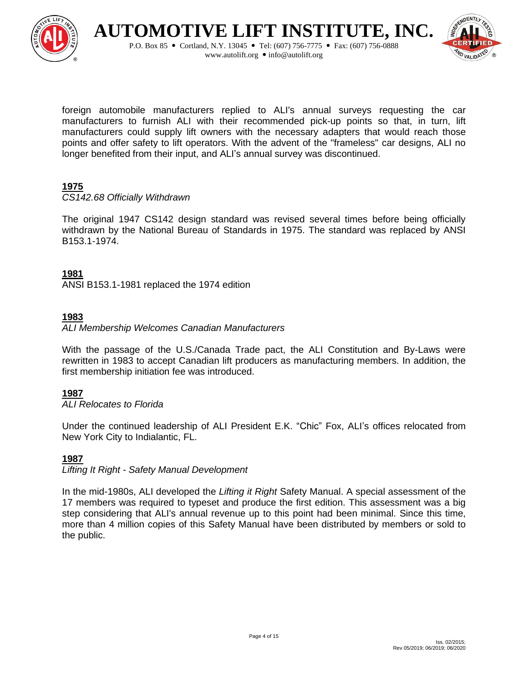





foreign automobile manufacturers replied to ALI's annual surveys requesting the car manufacturers to furnish ALI with their recommended pick-up points so that, in turn, lift manufacturers could supply lift owners with the necessary adapters that would reach those points and offer safety to lift operators. With the advent of the "frameless" car designs, ALI no longer benefited from their input, and ALI's annual survey was discontinued.

## **1975**

#### *CS142.68 Officially Withdrawn*

The original 1947 CS142 design standard was revised several times before being officially withdrawn by the National Bureau of Standards in 1975. The standard was replaced by ANSI B153.1-1974.

## **1981**

ANSI B153.1-1981 replaced the 1974 edition

## **1983**

#### *ALI Membership Welcomes Canadian Manufacturers*

With the passage of the U.S./Canada Trade pact, the ALI Constitution and By-Laws were rewritten in 1983 to accept Canadian lift producers as manufacturing members. In addition, the first membership initiation fee was introduced.

## **1987**

#### *ALI Relocates to Florida*

Under the continued leadership of ALI President E.K. "Chic" Fox, ALI's offices relocated from New York City to Indialantic, FL.

## **1987**

#### *Lifting It Right - Safety Manual Development*

In the mid-1980s, ALI developed the *Lifting it Right* Safety Manual. A special assessment of the 17 members was required to typeset and produce the first edition. This assessment was a big step considering that ALI's annual revenue up to this point had been minimal. Since this time, more than 4 million copies of this Safety Manual have been distributed by members or sold to the public.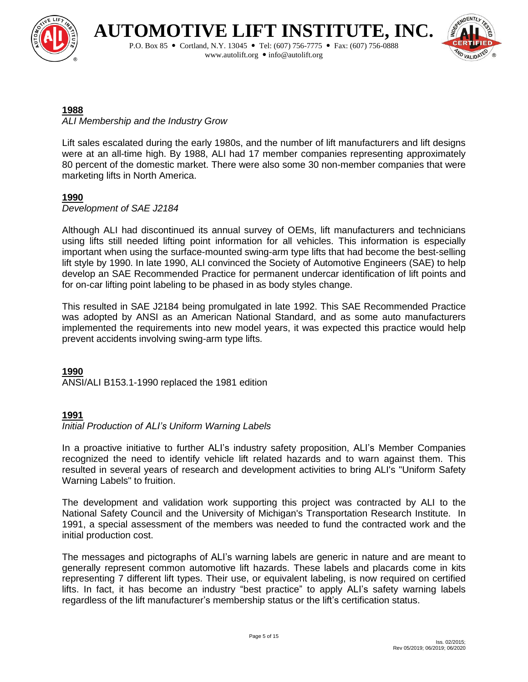

**AUTOMOTIVE LIFT INSTITUTE, INC.** P.O. Box 85 • Cortland, N.Y. 13045 • Tel: (607) 756-7775 • Fax: (607) 756-0888 www.autolift.org  $\bullet$  info@autolift.org



## **1988** *ALI Membership and the Industry Grow*

Lift sales escalated during the early 1980s, and the number of lift manufacturers and lift designs were at an all-time high. By 1988, ALI had 17 member companies representing approximately 80 percent of the domestic market. There were also some 30 non-member companies that were marketing lifts in North America.

#### **1990**

#### *Development of SAE J2184*

Although ALI had discontinued its annual survey of OEMs, lift manufacturers and technicians using lifts still needed lifting point information for all vehicles. This information is especially important when using the surface-mounted swing-arm type lifts that had become the best-selling lift style by 1990. In late 1990, ALI convinced the Society of Automotive Engineers (SAE) to help develop an SAE Recommended Practice for permanent undercar identification of lift points and for on-car lifting point labeling to be phased in as body styles change.

This resulted in SAE J2184 being promulgated in late 1992. This SAE Recommended Practice was adopted by ANSI as an American National Standard, and as some auto manufacturers implemented the requirements into new model years, it was expected this practice would help prevent accidents involving swing-arm type lifts.

#### **1990**

ANSI/ALI B153.1-1990 replaced the 1981 edition

## **1991**

*Initial Production of ALI's Uniform Warning Labels*

In a proactive initiative to further ALI's industry safety proposition, ALI's Member Companies recognized the need to identify vehicle lift related hazards and to warn against them. This resulted in several years of research and development activities to bring ALI's "Uniform Safety Warning Labels" to fruition.

The development and validation work supporting this project was contracted by ALI to the National Safety Council and the University of Michigan's Transportation Research Institute. In 1991, a special assessment of the members was needed to fund the contracted work and the initial production cost.

The messages and pictographs of ALI's warning labels are generic in nature and are meant to generally represent common automotive lift hazards. These labels and placards come in kits representing 7 different lift types. Their use, or equivalent labeling, is now required on certified lifts. In fact, it has become an industry "best practice" to apply ALI's safety warning labels regardless of the lift manufacturer's membership status or the lift's certification status.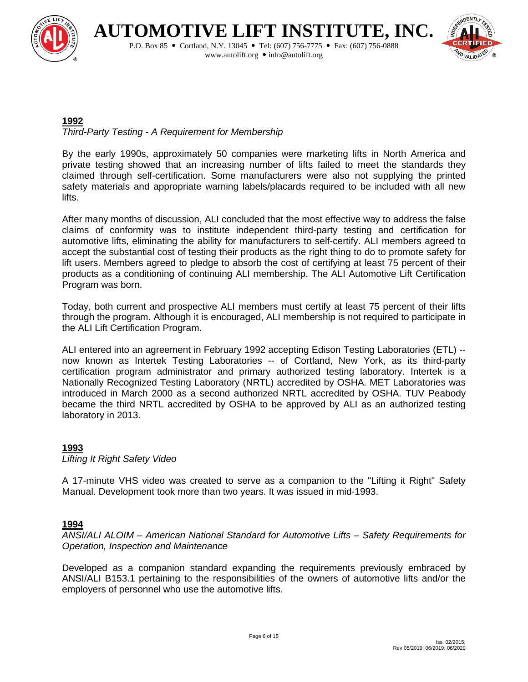





## **1992** *Third-Party Testing - A Requirement for Membership*

By the early 1990s, approximately 50 companies were marketing lifts in North America and private testing showed that an increasing number of lifts failed to meet the standards they claimed through self-certification. Some manufacturers were also not supplying the printed safety materials and appropriate warning labels/placards required to be included with all new lifts.

After many months of discussion, ALI concluded that the most effective way to address the false claims of conformity was to institute independent third-party testing and certification for automotive lifts, eliminating the ability for manufacturers to self-certify. ALI members agreed to accept the substantial cost of testing their products as the right thing to do to promote safety for lift users. Members agreed to pledge to absorb the cost of certifying at least 75 percent of their products as a conditioning of continuing ALI membership. The ALI Automotive Lift Certification Program was born.

Today, both current and prospective ALI members must certify at least 75 percent of their lifts through the program. Although it is encouraged, ALI membership is not required to participate in the ALI Lift Certification Program.

ALI entered into an agreement in February 1992 accepting Edison Testing Laboratories (ETL) - now known as Intertek Testing Laboratories -- of Cortland, New York, as its third-party certification program administrator and primary authorized testing laboratory. Intertek is a Nationally Recognized Testing Laboratory (NRTL) accredited by OSHA. MET Laboratories was introduced in March 2000 as a second authorized NRTL accredited by OSHA. TUV Peabody became the third NRTL accredited by OSHA to be approved by ALI as an authorized testing laboratory in 2013.

## **1993**

*Lifting It Right Safety Video*

A 17-minute VHS video was created to serve as a companion to the "Lifting it Right" Safety Manual. Development took more than two years. It was issued in mid-1993.

#### **1994**

*ANSI/ALI ALOIM – American National Standard for Automotive Lifts – Safety Requirements for Operation, Inspection and Maintenance*

Developed as a companion standard expanding the requirements previously embraced by ANSI/ALI B153.1 pertaining to the responsibilities of the owners of automotive lifts and/or the employers of personnel who use the automotive lifts.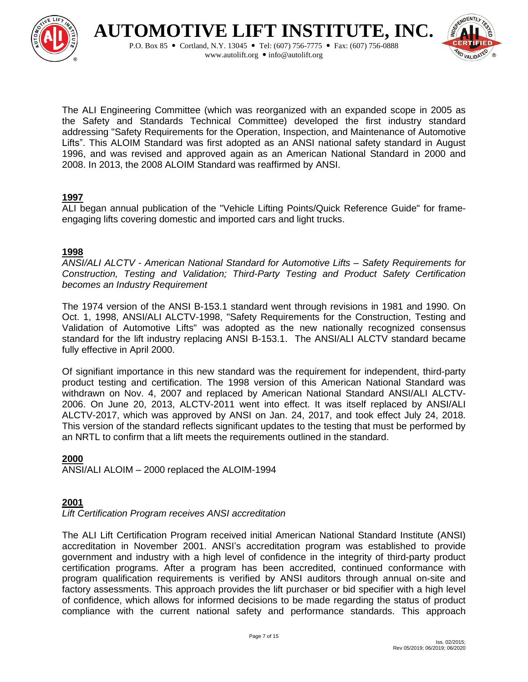





The ALI Engineering Committee (which was reorganized with an expanded scope in 2005 as the Safety and Standards Technical Committee) developed the first industry standard addressing "Safety Requirements for the Operation, Inspection, and Maintenance of Automotive Lifts". This ALOIM Standard was first adopted as an ANSI national safety standard in August 1996, and was revised and approved again as an American National Standard in 2000 and 2008. In 2013, the 2008 ALOIM Standard was reaffirmed by ANSI.

#### **1997**

ALI began annual publication of the "Vehicle Lifting Points/Quick Reference Guide" for frameengaging lifts covering domestic and imported cars and light trucks.

#### **1998**

*ANSI/ALI ALCTV - American National Standard for Automotive Lifts – Safety Requirements for Construction, Testing and Validation; Third-Party Testing and Product Safety Certification becomes an Industry Requirement*

The 1974 version of the ANSI B-153.1 standard went through revisions in 1981 and 1990. On Oct. 1, 1998, ANSI/ALI ALCTV-1998, "Safety Requirements for the Construction, Testing and Validation of Automotive Lifts" was adopted as the new nationally recognized consensus standard for the lift industry replacing ANSI B-153.1. The ANSI/ALI ALCTV standard became fully effective in April 2000.

Of signifiant importance in this new standard was the requirement for independent, third-party product testing and certification. The 1998 version of this American National Standard was withdrawn on Nov. 4, 2007 and replaced by American National Standard ANSI/ALI ALCTV-2006. On June 20, 2013, ALCTV-2011 went into effect. It was itself replaced by ANSI/ALI ALCTV-2017, which was approved by ANSI on Jan. 24, 2017, and took effect July 24, 2018. This version of the standard reflects significant updates to the testing that must be performed by an NRTL to confirm that a lift meets the requirements outlined in the standard.

#### **2000**

ANSI/ALI ALOIM – 2000 replaced the ALOIM-1994

#### **2001**

#### *Lift Certification Program receives ANSI accreditation*

The ALI Lift Certification Program received initial American National Standard Institute (ANSI) accreditation in November 2001. ANSI's accreditation program was established to provide government and industry with a high level of confidence in the integrity of third-party product certification programs. After a program has been accredited, continued conformance with program qualification requirements is verified by ANSI auditors through annual on-site and factory assessments. This approach provides the lift purchaser or bid specifier with a high level of confidence, which allows for informed decisions to be made regarding the status of product compliance with the current national safety and performance standards. This approach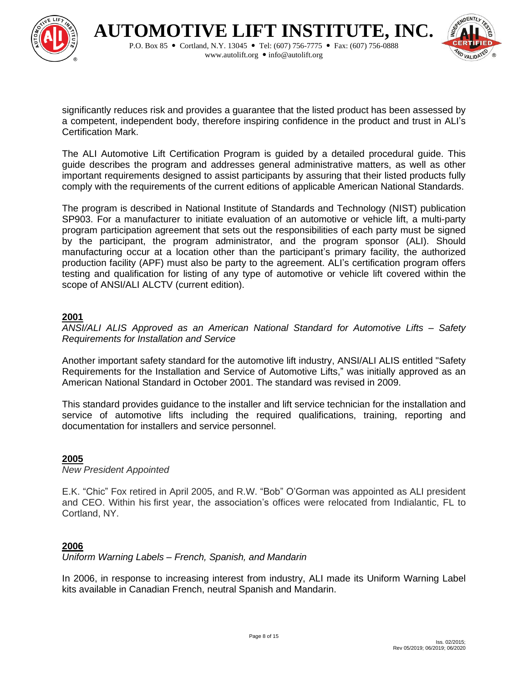





significantly reduces risk and provides a guarantee that the listed product has been assessed by a competent, independent body, therefore inspiring confidence in the product and trust in ALI's Certification Mark.

The ALI Automotive Lift Certification Program is guided by a detailed procedural guide. This guide describes the program and addresses general administrative matters, as well as other important requirements designed to assist participants by assuring that their listed products fully comply with the requirements of the current editions of applicable American National Standards.

The program is described in National Institute of Standards and Technology (NIST) publication SP903. For a manufacturer to initiate evaluation of an automotive or vehicle lift, a multi-party program participation agreement that sets out the responsibilities of each party must be signed by the participant, the program administrator, and the program sponsor (ALI). Should manufacturing occur at a location other than the participant's primary facility, the authorized production facility (APF) must also be party to the agreement. ALI's certification program offers testing and qualification for listing of any type of automotive or vehicle lift covered within the scope of ANSI/ALI ALCTV (current edition).

#### **2001**

*ANSI/ALI ALIS Approved as an American National Standard for Automotive Lifts – Safety Requirements for Installation and Service*

Another important safety standard for the automotive lift industry, ANSI/ALI ALIS entitled "Safety Requirements for the Installation and Service of Automotive Lifts," was initially approved as an American National Standard in October 2001. The standard was revised in 2009.

This standard provides guidance to the installer and lift service technician for the installation and service of automotive lifts including the required qualifications, training, reporting and documentation for installers and service personnel.

#### **2005**

*New President Appointed*

E.K. "Chic" Fox retired in April 2005, and R.W. "Bob" O'Gorman was appointed as ALI president and CEO. Within his first year, the association's offices were relocated from Indialantic, FL to Cortland, NY.

## **2006**

*Uniform Warning Labels – French, Spanish, and Mandarin*

In 2006, in response to increasing interest from industry, ALI made its Uniform Warning Label kits available in Canadian French, neutral Spanish and Mandarin.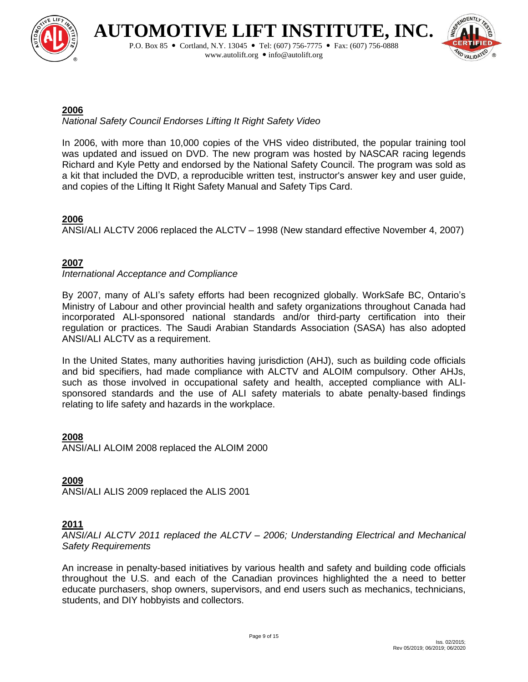





## **2006** *National Safety Council Endorses Lifting It Right Safety Video*

In 2006, with more than 10,000 copies of the VHS video distributed, the popular training tool was updated and issued on DVD. The new program was hosted by NASCAR racing legends Richard and Kyle Petty and endorsed by the National Safety Council. The program was sold as a kit that included the DVD, a reproducible written test, instructor's answer key and user guide, and copies of the Lifting It Right Safety Manual and Safety Tips Card.

## **2006**

ANSI/ALI ALCTV 2006 replaced the ALCTV – 1998 (New standard effective November 4, 2007)

## **2007**

*International Acceptance and Compliance*

By 2007, many of ALI's safety efforts had been recognized globally. WorkSafe BC, Ontario's Ministry of Labour and other provincial health and safety organizations throughout Canada had incorporated ALI-sponsored national standards and/or third-party certification into their regulation or practices. The Saudi Arabian Standards Association (SASA) has also adopted ANSI/ALI ALCTV as a requirement.

In the United States, many authorities having jurisdiction (AHJ), such as building code officials and bid specifiers, had made compliance with ALCTV and ALOIM compulsory. Other AHJs, such as those involved in occupational safety and health, accepted compliance with ALIsponsored standards and the use of ALI safety materials to abate penalty-based findings relating to life safety and hazards in the workplace.

**2008** ANSI/ALI ALOIM 2008 replaced the ALOIM 2000

## **2009**

ANSI/ALI ALIS 2009 replaced the ALIS 2001

## **2011**

*ANSI/ALI ALCTV 2011 replaced the ALCTV – 2006; Understanding Electrical and Mechanical Safety Requirements*

An increase in penalty-based initiatives by various health and safety and building code officials throughout the U.S. and each of the Canadian provinces highlighted the a need to better educate purchasers, shop owners, supervisors, and end users such as mechanics, technicians, students, and DIY hobbyists and collectors.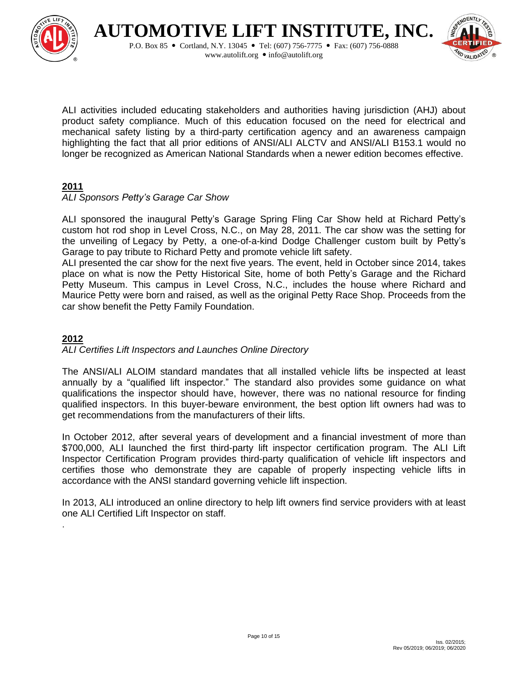





ALI activities included educating stakeholders and authorities having jurisdiction (AHJ) about product safety compliance. Much of this education focused on the need for electrical and mechanical safety listing by a third-party certification agency and an awareness campaign highlighting the fact that all prior editions of ANSI/ALI ALCTV and ANSI/ALI B153.1 would no longer be recognized as American National Standards when a newer edition becomes effective.

#### **2011**

#### *ALI Sponsors Petty's Garage Car Show*

ALI sponsored the inaugural Petty's Garage Spring Fling Car Show held at Richard Petty's custom hot rod shop in Level Cross, N.C., on May 28, 2011. The car show was the setting for the unveiling of Legacy by Petty, a one-of-a-kind Dodge Challenger custom built by Petty's Garage to pay tribute to Richard Petty and promote vehicle lift safety.

ALI presented the car show for the next five years. The event, held in October since 2014, takes place on what is now the Petty Historical Site, home of both Petty's Garage and the Richard Petty Museum. This campus in Level Cross, N.C., includes the house where Richard and Maurice Petty were born and raised, as well as the original Petty Race Shop. Proceeds from the car show benefit the Petty Family Foundation.

#### **2012**

.

#### *ALI Certifies Lift Inspectors and Launches Online Directory*

The ANSI/ALI ALOIM standard mandates that all installed vehicle lifts be inspected at least annually by a "qualified lift inspector." The standard also provides some guidance on what qualifications the inspector should have, however, there was no national resource for finding qualified inspectors. In this buyer-beware environment, the best option lift owners had was to get recommendations from the manufacturers of their lifts.

In October 2012, after several years of development and a financial investment of more than \$700,000, ALI launched the first third-party lift inspector certification program. The ALI Lift Inspector Certification Program provides third-party qualification of vehicle lift inspectors and certifies those who demonstrate they are capable of properly inspecting vehicle lifts in accordance with the ANSI standard governing vehicle lift inspection.

In 2013, ALI introduced an online directory to help lift owners find service providers with at least one ALI Certified Lift Inspector on staff.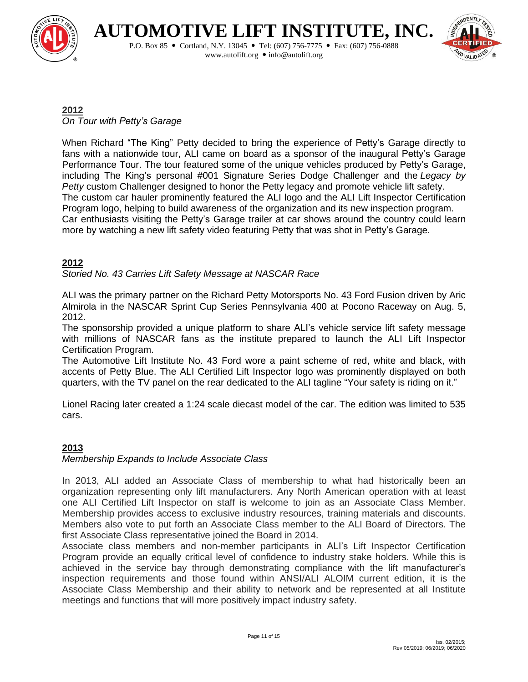





# **2012** *On Tour with Petty's Garage*

When Richard "The King" Petty decided to bring the experience of Petty's Garage directly to fans with a nationwide tour, ALI came on board as a sponsor of the inaugural Petty's Garage Performance Tour. The tour featured some of the unique vehicles produced by Petty's Garage, including The King's personal #001 Signature Series Dodge Challenger and the *Legacy by Petty* custom Challenger designed to honor the Petty legacy and promote vehicle lift safety. The custom car hauler prominently featured the ALI logo and the ALI Lift Inspector Certification Program logo, helping to build awareness of the organization and its new inspection program. Car enthusiasts visiting the Petty's Garage trailer at car shows around the country could learn more by watching a new lift [safety](https://www.youtube.com/watch?v=0n-8SoacXgE%20) video featuring Petty that was shot in Petty's Garage.

## **2012**

## *Storied No. 43 Carries Lift Safety Message at NASCAR Race*

ALI was the primary partner on the Richard Petty Motorsports No. 43 Ford Fusion driven by Aric Almirola in the NASCAR Sprint Cup Series Pennsylvania 400 at Pocono Raceway on Aug. 5, 2012.

The sponsorship provided a unique platform to share ALI's vehicle service lift safety message with millions of NASCAR fans as the institute prepared to launch the ALI Lift Inspector Certification Program.

The Automotive Lift Institute No. 43 Ford wore a paint scheme of red, white and black, with accents of Petty Blue. The ALI Certified Lift Inspector logo was prominently displayed on both quarters, with the TV panel on the rear dedicated to the ALI tagline "Your safety is riding on it."

Lionel Racing later created a 1:24 scale diecast model of the car. The edition was limited to 535 cars.

# **2013**

#### *Membership Expands to Include Associate Class*

In 2013, ALI added an Associate Class of membership to what had historically been an organization representing only lift manufacturers. Any North American operation with at least one ALI Certified Lift Inspector on staff is welcome to join as an Associate Class Member. Membership provides access to exclusive industry resources, training materials and discounts. Members also vote to put forth an Associate Class member to the ALI Board of Directors. The first Associate Class representative joined the Board in 2014.

Associate class members and non-member participants in ALI's Lift Inspector Certification Program provide an equally critical level of confidence to industry stake holders. While this is achieved in the service bay through demonstrating compliance with the lift manufacturer's inspection requirements and those found within ANSI/ALI ALOIM current edition, it is the Associate Class Membership and their ability to network and be represented at all Institute meetings and functions that will more positively impact industry safety.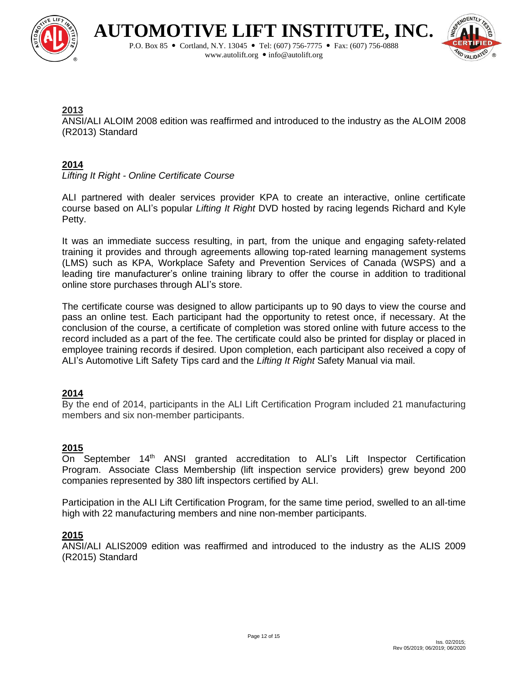





## **2013**

ANSI/ALI ALOIM 2008 edition was reaffirmed and introduced to the industry as the ALOIM 2008 (R2013) Standard

## **2014**

*Lifting It Right - Online Certificate Course*

ALI partnered with dealer services provider KPA to create an interactive, online certificate course based on ALI's popular *Lifting It Right* DVD hosted by racing legends Richard and Kyle Petty.

It was an immediate success resulting, in part, from the unique and engaging safety-related training it provides and through agreements allowing top-rated learning management systems (LMS) such as KPA, Workplace Safety and Prevention Services of Canada (WSPS) and a leading tire manufacturer's online training library to offer the course in addition to traditional online store purchases through ALI's store.

The certificate course was designed to allow participants up to 90 days to view the course and pass an online test. Each participant had the opportunity to retest once, if necessary. At the conclusion of the course, a certificate of completion was stored online with future access to the record included as a part of the fee. The certificate could also be printed for display or placed in employee training records if desired. Upon completion, each participant also received a copy of ALI's Automotive Lift Safety Tips card and the *Lifting It Right* Safety Manual via mail.

#### **2014**

By the end of 2014, participants in the ALI Lift Certification Program included 21 manufacturing members and six non-member participants.

## **2015**

On September 14<sup>th</sup> ANSI granted accreditation to ALI's Lift Inspector Certification Program. Associate Class Membership (lift inspection service providers) grew beyond 200 companies represented by 380 lift inspectors certified by ALI.

Participation in the ALI Lift Certification Program, for the same time period, swelled to an all-time high with 22 manufacturing members and nine non-member participants.

#### **2015**

ANSI/ALI ALIS2009 edition was reaffirmed and introduced to the industry as the ALIS 2009 (R2015) Standard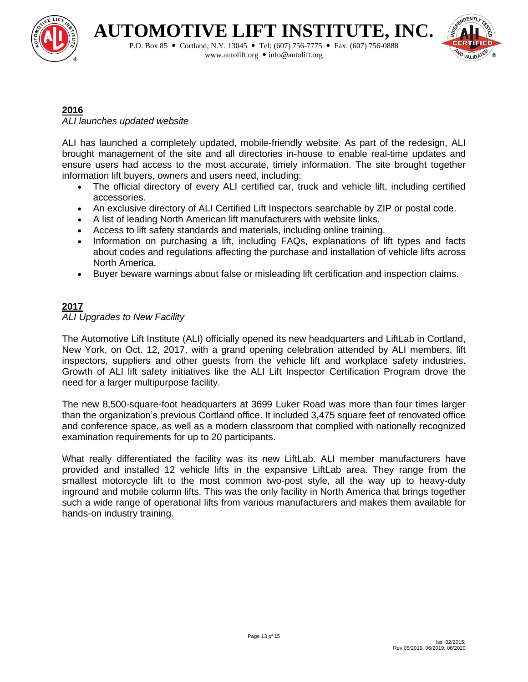

**AUTOMOTIVE LIFT INSTITUTE, INC.**

P.O. Box 85 • Cortland, N.Y. 13045 • Tel: (607) 756-7775 • Fax: (607) 756-0888 www.autolift.org • info@autolift.org



## **2016** *ALI launches updated website*

ALI has launched a completely updated, mobile-friendly website. As part of the redesign, ALI brought management of the site and all directories in-house to enable real-time updates and ensure users had access to the most accurate, timely information. The site brought together information lift buyers, owners and users need, including:

- The official directory of every ALI certified car, truck and vehicle lift, including certified accessories.
- An exclusive directory of ALI Certified Lift Inspectors searchable by ZIP or postal code.
- A list of leading North American lift manufacturers with website links.
- Access to lift safety standards and materials, including online training.
- Information on purchasing a lift, including FAQs, explanations of lift types and facts about codes and regulations affecting the purchase and installation of vehicle lifts across North America.
- Buyer beware warnings about false or misleading lift certification and inspection claims.

#### **2017** *ALI Upgrades to New Facility*

The Automotive Lift Institute (ALI) officially opened its new headquarters and LiftLab in Cortland, New York, on Oct. 12, 2017, with a grand opening celebration attended by ALI members, lift inspectors, suppliers and other guests from the vehicle lift and workplace safety industries. Growth of ALI lift safety initiatives like the ALI Lift Inspector Certification Program drove the need for a larger multipurpose facility.

The new 8,500-square-foot headquarters at 3699 Luker Road was more than four times larger than the organization's previous Cortland office. It included 3,475 square feet of renovated office and conference space, as well as a modern classroom that complied with nationally recognized examination requirements for up to 20 participants.

What really differentiated the facility was its new LiftLab. ALI member manufacturers have provided and installed 12 vehicle lifts in the expansive LiftLab area. They range from the smallest motorcycle lift to the most common two-post style, all the way up to heavy-duty inground and mobile column lifts. This was the only facility in North America that brings together such a wide range of operational lifts from various manufacturers and makes them available for hands-on industry training.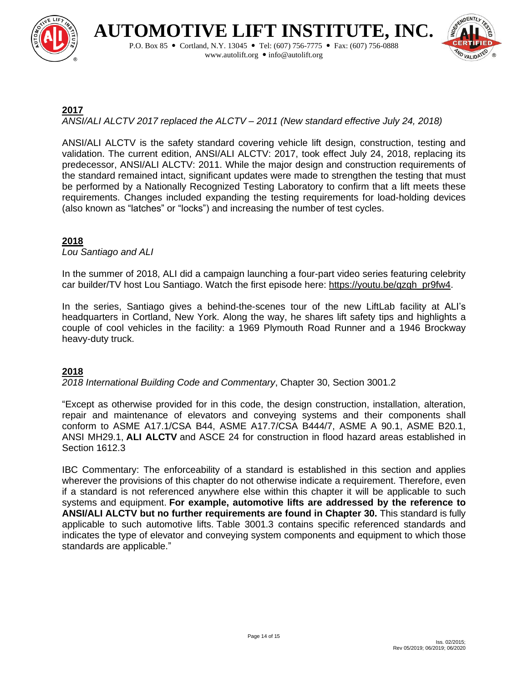





## **2017** *ANSI/ALI ALCTV 2017 replaced the ALCTV – 2011 (New standard effective July 24, 2018)*

ANSI/ALI ALCTV is the safety standard covering vehicle lift design, construction, testing and validation. The current edition, ANSI/ALI ALCTV: 2017, took effect July 24, 2018, replacing its predecessor, ANSI/ALI ALCTV: 2011. While the major design and construction requirements of the standard remained intact, significant updates were made to strengthen the testing that must be performed by a Nationally Recognized Testing Laboratory to confirm that a lift meets these requirements. Changes included expanding the testing requirements for load-holding devices (also known as "latches" or "locks") and increasing the number of test cycles.

#### **2018**

*Lou Santiago and ALI*

In the summer of 2018, ALI did a campaign launching a four-part video series featuring celebrity car builder/TV host Lou Santiago. Watch the first episode here: [https://youtu.be/qzgh\\_pr9fw4.](https://youtu.be/qzgh_pr9fw4)

In the series, Santiago gives a behind-the-scenes tour of the new LiftLab facility at ALI's headquarters in Cortland, New York. Along the way, he shares lift safety tips and highlights a couple of cool vehicles in the facility: a 1969 Plymouth Road Runner and a 1946 Brockway heavy-duty truck.

## **2018**

*2018 International Building Code and Commentary*, Chapter 30, Section 3001.2

"Except as otherwise provided for in this code, the design construction, installation, alteration, repair and maintenance of elevators and conveying systems and their components shall conform to ASME A17.1/CSA B44, ASME A17.7/CSA B444/7, ASME A 90.1, ASME B20.1, ANSI MH29.1, **ALI ALCTV** and ASCE 24 for construction in flood hazard areas established in Section 1612.3

IBC Commentary: The enforceability of a standard is established in this section and applies wherever the provisions of this chapter do not otherwise indicate a requirement. Therefore, even if a standard is not referenced anywhere else within this chapter it will be applicable to such systems and equipment. **For example, automotive lifts are addressed by the reference to ANSI/ALI ALCTV but no further requirements are found in Chapter 30.** This standard is fully applicable to such automotive lifts. Table 3001.3 contains specific referenced standards and indicates the type of elevator and conveying system components and equipment to which those standards are applicable."